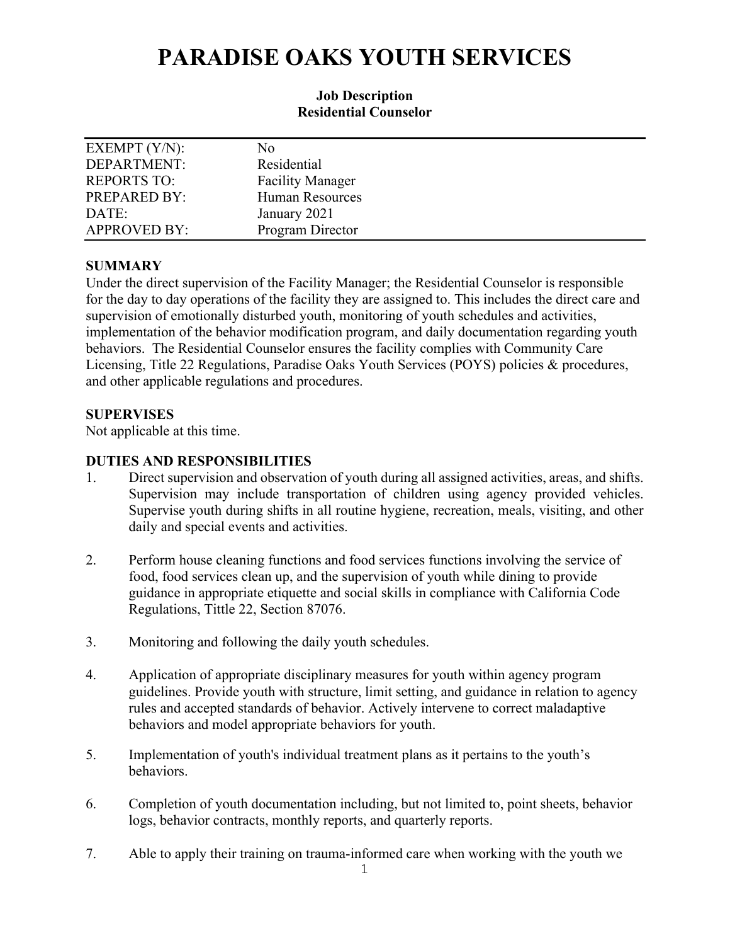# **PARADISE OAKS YOUTH SERVICES**

## **Job Description Residential Counselor**

| EXEMPT $(Y/N)$ :    | No                      |
|---------------------|-------------------------|
| DEPARTMENT:         | Residential             |
| <b>REPORTS TO:</b>  | <b>Facility Manager</b> |
| PREPARED BY:        | <b>Human Resources</b>  |
| DATE:               | January 2021            |
| <b>APPROVED BY:</b> | Program Director        |

### **SUMMARY**

Under the direct supervision of the Facility Manager; the Residential Counselor is responsible for the day to day operations of the facility they are assigned to. This includes the direct care and supervision of emotionally disturbed youth, monitoring of youth schedules and activities, implementation of the behavior modification program, and daily documentation regarding youth behaviors. The Residential Counselor ensures the facility complies with Community Care Licensing, Title 22 Regulations, Paradise Oaks Youth Services (POYS) policies & procedures, and other applicable regulations and procedures.

# **SUPERVISES**

Not applicable at this time.

# **DUTIES AND RESPONSIBILITIES**

- 1. Direct supervision and observation of youth during all assigned activities, areas, and shifts. Supervision may include transportation of children using agency provided vehicles. Supervise youth during shifts in all routine hygiene, recreation, meals, visiting, and other daily and special events and activities.
- 2. Perform house cleaning functions and food services functions involving the service of food, food services clean up, and the supervision of youth while dining to provide guidance in appropriate etiquette and social skills in compliance with California Code Regulations, Tittle 22, Section 87076.
- 3. Monitoring and following the daily youth schedules.
- 4. Application of appropriate disciplinary measures for youth within agency program guidelines. Provide youth with structure, limit setting, and guidance in relation to agency rules and accepted standards of behavior. Actively intervene to correct maladaptive behaviors and model appropriate behaviors for youth.
- 5. Implementation of youth's individual treatment plans as it pertains to the youth's behaviors.
- 6. Completion of youth documentation including, but not limited to, point sheets, behavior logs, behavior contracts, monthly reports, and quarterly reports.
- 7. Able to apply their training on trauma-informed care when working with the youth we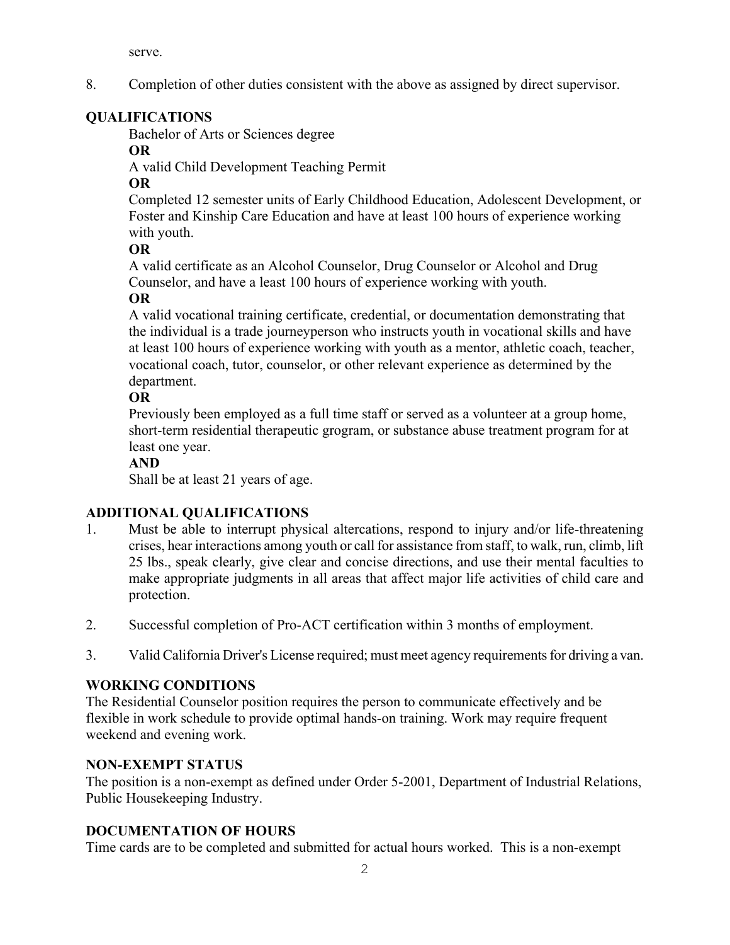serve.

8. Completion of other duties consistent with the above as assigned by direct supervisor.

# **QUALIFICATIONS**

Bachelor of Arts or Sciences degree

# **OR**

A valid Child Development Teaching Permit

# **OR**

Completed 12 semester units of Early Childhood Education, Adolescent Development, or Foster and Kinship Care Education and have at least 100 hours of experience working with youth.

# **OR**

A valid certificate as an Alcohol Counselor, Drug Counselor or Alcohol and Drug Counselor, and have a least 100 hours of experience working with youth. **OR**

A valid vocational training certificate, credential, or documentation demonstrating that the individual is a trade journeyperson who instructs youth in vocational skills and have at least 100 hours of experience working with youth as a mentor, athletic coach, teacher, vocational coach, tutor, counselor, or other relevant experience as determined by the department.

# **OR**

Previously been employed as a full time staff or served as a volunteer at a group home, short-term residential therapeutic grogram, or substance abuse treatment program for at least one year.

# **AND**

Shall be at least 21 years of age.

# **ADDITIONAL QUALIFICATIONS**

- 1. Must be able to interrupt physical altercations, respond to injury and/or life-threatening crises, hear interactions among youth or call for assistance from staff, to walk, run, climb, lift 25 lbs., speak clearly, give clear and concise directions, and use their mental faculties to make appropriate judgments in all areas that affect major life activities of child care and protection.
- 2. Successful completion of Pro-ACT certification within 3 months of employment.
- 3. Valid California Driver's License required; must meet agency requirements for driving a van.

# **WORKING CONDITIONS**

The Residential Counselor position requires the person to communicate effectively and be flexible in work schedule to provide optimal hands-on training. Work may require frequent weekend and evening work.

# **NON-EXEMPT STATUS**

The position is a non-exempt as defined under Order 5-2001, Department of Industrial Relations, Public Housekeeping Industry.

# **DOCUMENTATION OF HOURS**

Time cards are to be completed and submitted for actual hours worked. This is a non-exempt